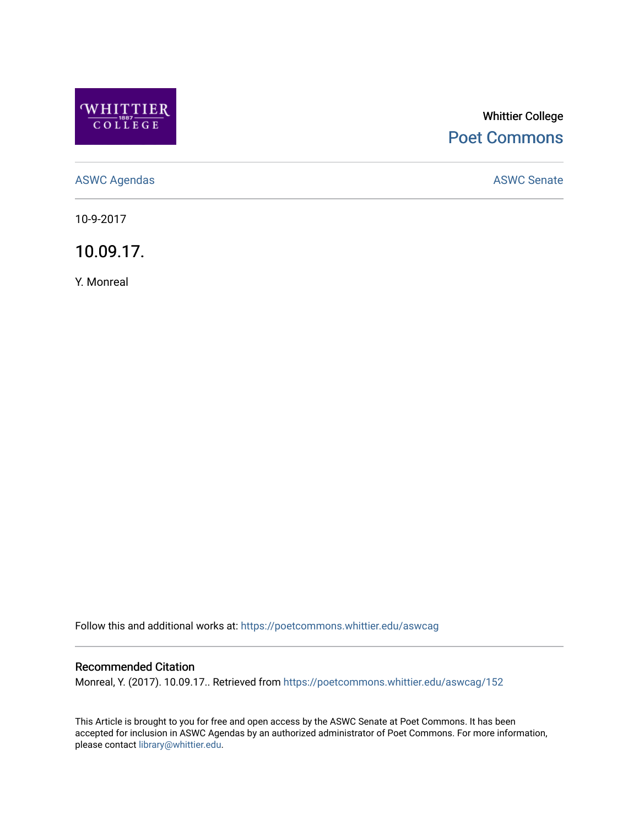

# Whittier College [Poet Commons](https://poetcommons.whittier.edu/)

[ASWC Agendas](https://poetcommons.whittier.edu/aswcag) **ASWC Senate** 

10-9-2017

10.09.17.

Y. Monreal

Follow this and additional works at: [https://poetcommons.whittier.edu/aswcag](https://poetcommons.whittier.edu/aswcag?utm_source=poetcommons.whittier.edu%2Faswcag%2F152&utm_medium=PDF&utm_campaign=PDFCoverPages) 

# Recommended Citation

Monreal, Y. (2017). 10.09.17.. Retrieved from [https://poetcommons.whittier.edu/aswcag/152](https://poetcommons.whittier.edu/aswcag/152?utm_source=poetcommons.whittier.edu%2Faswcag%2F152&utm_medium=PDF&utm_campaign=PDFCoverPages) 

This Article is brought to you for free and open access by the ASWC Senate at Poet Commons. It has been accepted for inclusion in ASWC Agendas by an authorized administrator of Poet Commons. For more information, please contact [library@whittier.edu](mailto:library@whittier.edu).